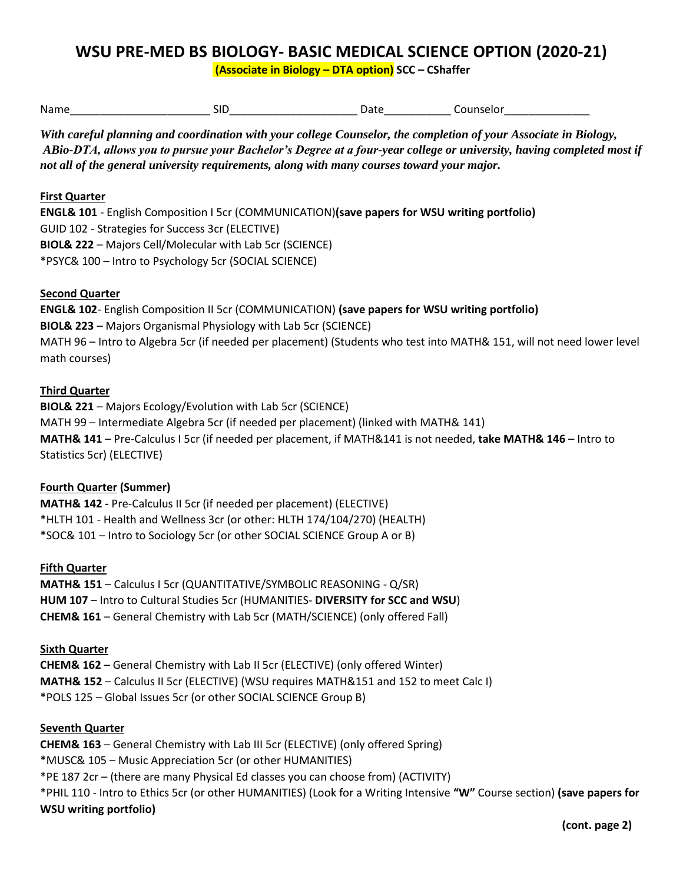# **WSU PRE-MED BS BIOLOGY- BASIC MEDICAL SCIENCE OPTION (2020-21)**

**(Associate in Biology – DTA option) SCC – CShaffer** 

| Name | ווכ | ., | טו.<br>. |
|------|-----|----|----------|
|      |     |    |          |

*With careful planning and coordination with your college Counselor, the completion of your Associate in Biology, ABio-DTA, allows you to pursue your Bachelor's Degree at a four-year college or university, having completed most if not all of the general university requirements, along with many courses toward your major.* 

### **First Quarter**

**ENGL& 101** - English Composition I 5cr (COMMUNICATION)**(save papers for WSU writing portfolio)**  GUID 102 - Strategies for Success 3cr (ELECTIVE) **BIOL& 222** – Majors Cell/Molecular with Lab 5cr (SCIENCE) \*PSYC& 100 – Intro to Psychology 5cr (SOCIAL SCIENCE)

# **Second Quarter**

 MATH 96 – Intro to Algebra 5cr (if needed per placement) (Students who test into MATH& 151, will not need lower level **ENGL& 102**- English Composition II 5cr (COMMUNICATION) **(save papers for WSU writing portfolio) BIOL& 223** – Majors Organismal Physiology with Lab 5cr (SCIENCE) math courses)

# **Third Quarter**

 MATH 99 – Intermediate Algebra 5cr (if needed per placement) (linked with MATH& 141) **BIOL& 221** – Majors Ecology/Evolution with Lab 5cr (SCIENCE) **MATH& 141** – Pre-Calculus I 5cr (if needed per placement, if MATH&141 is not needed, **take MATH& 146** – Intro to Statistics 5cr) (ELECTIVE)

# **Fourth Quarter (Summer)**

**MATH& 142 -** Pre-Calculus II 5cr (if needed per placement) (ELECTIVE) \*HLTH 101 - Health and Wellness 3cr (or other: HLTH 174/104/270) (HEALTH) \*SOC& 101 – Intro to Sociology 5cr (or other SOCIAL SCIENCE Group A or B)

# **Fifth Quarter**

 **HUM 107** – Intro to Cultural Studies 5cr (HUMANITIES- **DIVERSITY for SCC and WSU**) **MATH& 151** – Calculus I 5cr (QUANTITATIVE/SYMBOLIC REASONING - Q/SR) **CHEM& 161** – General Chemistry with Lab 5cr (MATH/SCIENCE) (only offered Fall)

### **Sixth Quarter**

**CHEM& 162** – General Chemistry with Lab II 5cr (ELECTIVE) (only offered Winter) **MATH& 152** – Calculus II 5cr (ELECTIVE) (WSU requires MATH&151 and 152 to meet Calc I) \*POLS 125 – Global Issues 5cr (or other SOCIAL SCIENCE Group B)

### **Seventh Quarter**

**CHEM& 163** – General Chemistry with Lab III 5cr (ELECTIVE) (only offered Spring) \*MUSC& 105 – Music Appreciation 5cr (or other HUMANITIES) \*PE 187 2cr – (there are many Physical Ed classes you can choose from) (ACTIVITY) \*PHIL 110 - Intro to Ethics 5cr (or other HUMANITIES) (Look for a Writing Intensive **"W"** Course section) **(save papers for WSU writing portfolio)**

**(cont. page 2)**